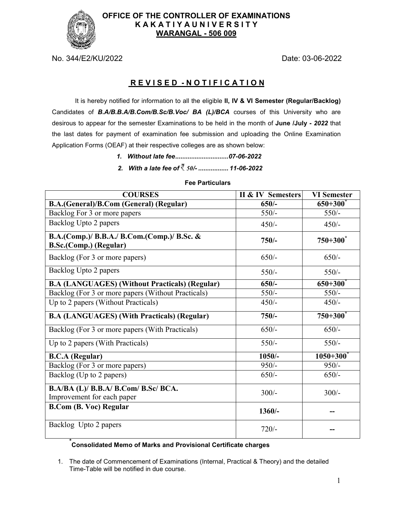

## **OFFICE OF THE CONTROLLER OF EXAMINATIONS K A K A T I Y A U N I V E R S I T Y WARANGAL - 506 009**

No. 344/E2/KU/2022 Date: 03-06-2022

## **R E V I S E D - N O T I F I C A T I O N**

It is hereby notified for information to all the eligible **II, IV & VI Semester (Regular/Backlog)**  Candidates of *B.A/B.B.A/B.Com/B.Sc/B.Voc/ BA (L)/BCA* courses of this University who are desirous to appear for the semester Examinations to be held in the month of **June /July -** *2022* that the last dates for payment of examination fee submission and uploading the Online Examination Application Forms (OEAF) at their respective colleges are as shown below:

- *1. Without late fee .............................. 07-06-2022*
- *2. With a late fee of 50/- ................. 11-06-2022*

# **COURSES II & IV Semesters VI Semester B.A.(General)/B.Com (General) (Regular) 650/- 650+300\*** Backlog For 3 or more papers 550/- 550/-Backlog Upto 2 papers  $450/ 450/-$ **B.A.(Comp.)/ B.B.A./ B.Com.(Comp.)/ B.Sc. & B.Sc.(Comp.) (Regular) 750/- 750+300\***  Backlog (For 3 or more papers) 650/- 650/- 650/-Backlog Upto 2 papers 550/- 550/-**B.A (LANGUAGES) (Without Practicals) (Regular) 650/- 650+300\*** Backlog (For 3 or more papers (Without Practicals) 550/- 550/- 550/-Up to 2 papers (Without Practicals)  $450/-$  450/-**B.A (LANGUAGES) (With Practicals) (Regular) 750/- 750+300\*** Backlog (For 3 or more papers (With Practicals) 650/- 650/- 650/-Up to 2 papers (With Practicals)  $550/-$  550/-**B.C.A (Regular) 1050/- 1050+300\*** Backlog (For 3 or more papers) 950/- 950/- 950/-Backlog (Up to 2 papers)  $\begin{array}{|l|}\n\hline\n650/-\n\end{array}$  650/-**B.A/BA (L)/ B.B.A/ B.Com/ B.Sc/ BCA.**  $\frac{1}{200}$   $\frac{1}{200}$   $\frac{1}{200}$   $\frac{1}{200}$   $\frac{300}{-200}$   $\frac{300}{-200}$ **B.Com (B. Voc) Regular 1360/-** 1360/-Backlog Upto 2 papers 720/-

#### **Fee Particulars**

# **\* Consolidated Memo of Marks and Provisional Certificate charges**

1. The date of Commencement of Examinations (Internal, Practical & Theory) and the detailed Time-Table will be notified in due course.